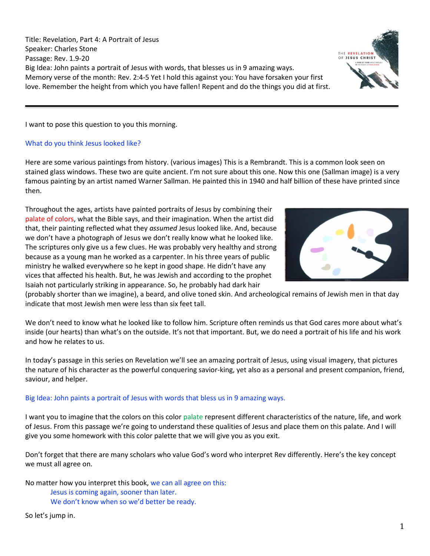Title: Revelation, Part 4: A Portrait of Jesus Speaker: Charles Stone Passage: Rev. 1.9-20 Big Idea: John paints a portrait of Jesus with words, that blesses us in 9 amazing ways. Memory verse of the month: Rev. 2:4-5 Yet I hold this against you: You have forsaken your first love. Remember the height from which you have fallen! Repent and do the things you did at first.

I want to pose this question to you this morning.

## What do you think Jesus looked like?

Here are some various paintings from history. (various images) This is a Rembrandt. This is a common look seen on stained glass windows. These two are quite ancient. I'm not sure about this one. Now this one (Sallman image) is a very famous painting by an artist named Warner Sallman. He painted this in 1940 and half billion of these have printed since then.

Throughout the ages, artists have painted portraits of Jesus by combining their palate of colors, what the Bible says, and their imagination. When the artist did that, their painting reflected what they *assumed* Jesus looked like. And, because we don't have a photograph of Jesus we don't really know what he looked like. The scriptures only give us a few clues. He was probably very healthy and strong because as a young man he worked as a carpenter. In his three years of public ministry he walked everywhere so he kept in good shape. He didn't have any vices that affected his health. But, he was Jewish and according to the prophet Isaiah not particularly striking in appearance. So, he probably had dark hair

(probably shorter than we imagine), a beard, and olive toned skin. And archeological remains of Jewish men in that day indicate that most Jewish men were less than six feet tall.

We don't need to know what he looked like to follow him. Scripture often reminds us that God cares more about what's inside (our hearts) than what's on the outside. It's not that important. But, we do need a portrait of his life and his work and how he relates to us.

In today's passage in this series on Revelation we'll see an amazing portrait of Jesus, using visual imagery, that pictures the nature of his character as the powerful conquering savior-king, yet also as a personal and present companion, friend, saviour, and helper.

### Big Idea: John paints a portrait of Jesus with words that bless us in 9 amazing ways.

I want you to imagine that the colors on this color palate represent different characteristics of the nature, life, and work of Jesus. From this passage we're going to understand these qualities of Jesus and place them on this palate. And I will give you some homework with this color palette that we will give you as you exit.

Don't forget that there are many scholars who value God's word who interpret Rev differently. Here's the key concept we must all agree on.

No matter how you interpret this book, we can all agree on this: Jesus is coming again, sooner than later.

We don't know when so we'd better be ready.

So let's jump in.



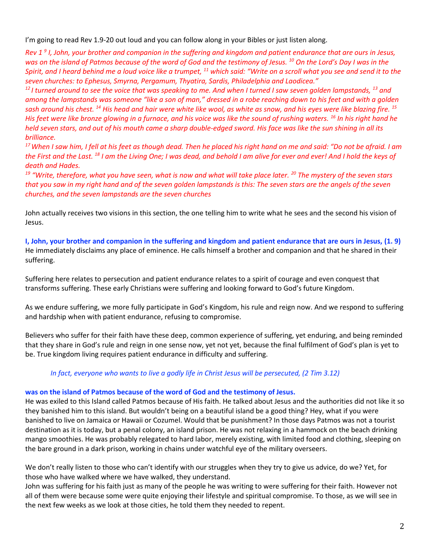I'm going to read Rev 1.9-20 out loud and you can follow along in your Bibles or just listen along.

*Rev 1 9 I, John, your brother and companion in the suffering and kingdom and patient endurance that are ours in Jesus, was on the island of Patmos because of the word of God and the testimony of Jesus. <sup>10</sup> On the Lord's Day I was in the Spirit, and I heard behind me a loud voice like a trumpet, <sup>11</sup> which said: "Write on a scroll what you see and send it to the seven churches: to Ephesus, Smyrna, Pergamum, Thyatira, Sardis, Philadelphia and Laodicea."*

<sup>12</sup> I turned around to see the voice that was speaking to me. And when I turned I saw seven golden lampstands, <sup>13</sup> and *among the lampstands was someone "like a son of man," dressed in a robe reaching down to his feet and with a golden sash around his chest. <sup>14</sup> His head and hair were white like wool, as white as snow, and his eyes were like blazing fire. <sup>15</sup> His feet were like bronze glowing in a furnace, and his voice was like the sound of rushing waters. <sup>16</sup> In his right hand he held seven stars, and out of his mouth came a sharp double-edged sword. His face was like the sun shining in all its brilliance.*

*<sup>17</sup>When I saw him, I fell at his feet as though dead. Then he placed his right hand on me and said: "Do not be afraid. I am the First and the Last. <sup>18</sup> I am the Living One; I was dead, and behold I am alive for ever and ever! And I hold the keys of death and Hades.*

*<sup>19</sup> "Write, therefore, what you have seen, what is now and what will take place later. <sup>20</sup> The mystery of the seven stars that you saw in my right hand and of the seven golden lampstands is this: The seven stars are the angels of the seven churches, and the seven lampstands are the seven churches*

John actually receives two visions in this section, the one telling him to write what he sees and the second his vision of Jesus.

**I, John, your brother and companion in the suffering and kingdom and patient endurance that are ours in Jesus, (1. 9)**  He immediately disclaims any place of eminence. He calls himself a brother and companion and that he shared in their suffering.

Suffering here relates to persecution and patient endurance relates to a spirit of courage and even conquest that transforms suffering. These early Christians were suffering and looking forward to God's future Kingdom.

As we endure suffering, we more fully participate in God's Kingdom, his rule and reign now. And we respond to suffering and hardship when with patient endurance, refusing to compromise.

Believers who suffer for their faith have these deep, common experience of suffering, yet enduring, and being reminded that they share in God's rule and reign in one sense now, yet not yet, because the final fulfilment of God's plan is yet to be. True kingdom living requires patient endurance in difficulty and suffering.

# *In fact, everyone who wants to live a godly life in Christ Jesus will be persecuted, (2 Tim 3.12)*

### **was on the island of Patmos because of the word of God and the testimony of Jesus.**

He was exiled to this Island called Patmos because of His faith. He talked about Jesus and the authorities did not like it so they banished him to this island. But wouldn't being on a beautiful island be a good thing? Hey, what if you were banished to live on Jamaica or Hawaii or Cozumel. Would that be punishment? In those days Patmos was not a tourist destination as it is today, but a penal colony, an island prison. He was not relaxing in a hammock on the beach drinking mango smoothies. He was probably relegated to hard labor, merely existing, with limited food and clothing, sleeping on the bare ground in a dark prison, working in chains under watchful eye of the military overseers.

We don't really listen to those who can't identify with our struggles when they try to give us advice, do we? Yet, for those who have walked where we have walked, they understand.

John was suffering for his faith just as many of the people he was writing to were suffering for their faith. However not all of them were because some were quite enjoying their lifestyle and spiritual compromise. To those, as we will see in the next few weeks as we look at those cities, he told them they needed to repent.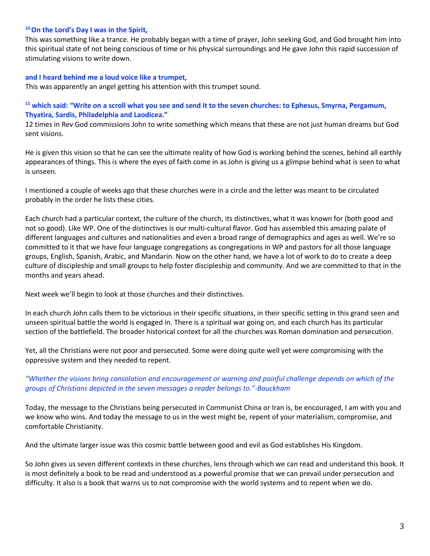### **<sup>10</sup>On the Lord's Day I was in the Spirit,**

This was something like a trance. He probably began with a time of prayer, John seeking God, and God brought him into this spiritual state of not being conscious of time or his physical surroundings and He gave John this rapid succession of stimulating visions to write down.

## **and I heard behind me a loud voice like a trumpet,**

This was apparently an angel getting his attention with this trumpet sound.

## **<sup>11</sup> which said: "Write on a scroll what you see and send it to the seven churches: to Ephesus, Smyrna, Pergamum, Thyatira, Sardis, Philadelphia and Laodicea."**

12 times in Rev God commissions John to write something which means that these are not just human dreams but God sent visions.

He is given this vision so that he can see the ultimate reality of how God is working behind the scenes, behind all earthly appearances of things. This is where the eyes of faith come in as John is giving us a glimpse behind what is seen to what is unseen.

I mentioned a couple of weeks ago that these churches were in a circle and the letter was meant to be circulated probably in the order he lists these cities.

Each church had a particular context, the culture of the church, its distinctives, what it was known for (both good and not so good). Like WP. One of the distinctives is our multi-cultural flavor. God has assembled this amazing palate of different languages and cultures and nationalities and even a broad range of demographics and ages as well. We're so committed to it that we have four language congregations as congregations in WP and pastors for all those language groups, English, Spanish, Arabic, and Mandarin. Now on the other hand, we have a lot of work to do to create a deep culture of discipleship and small groups to help foster discipleship and community. And we are committed to that in the months and years ahead.

Next week we'll begin to look at those churches and their distinctives.

In each church John calls them to be victorious in their specific situations, in their specific setting in this grand seen and unseen spiritual battle the world is engaged in. There is a spiritual war going on, and each church has its particular section of the battlefield. The broader historical context for all the churches was Roman domination and persecution.

Yet, all the Christians were not poor and persecuted. Some were doing quite well yet were compromising with the oppressive system and they needed to repent.

# *"Whether the visions bring consolation and encouragement or warning and painful challenge depends on which of the groups of Christians depicted in the seven messages a reader belongs to."-Bauckham*

Today, the message to the Christians being persecuted in Communist China or Iran is, be encouraged, I am with you and we know who wins. And today the message to us in the west might be, repent of your materialism, compromise, and comfortable Christianity.

And the ultimate larger issue was this cosmic battle between good and evil as God establishes His Kingdom.

So John gives us seven different contexts in these churches, lens through which we can read and understand this book. It is most definitely a book to be read and understood as a powerful promise that we can prevail under persecution and difficulty. It also is a book that warns us to not compromise with the world systems and to repent when we do.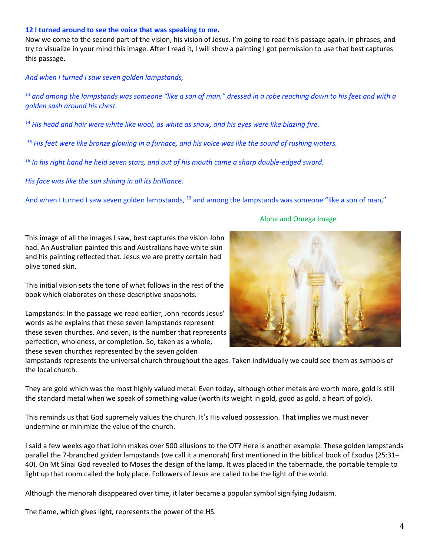#### **12 I turned around to see the voice that was speaking to me.**

Now we come to the second part of the vision, his vision of Jesus. I'm going to read this passage again, in phrases, and try to visualize in your mind this image. After I read it, I will show a painting I got permission to use that best captures this passage.

#### *And when I turned I saw seven golden lampstands,*

*<sup>13</sup> and among the lampstands was someone "like a son of man," dressed in a robe reaching down to his feet and with a golden sash around his chest.* 

*<sup>14</sup> His head and hair were white like wool, as white as snow, and his eyes were like blazing fire.*

*<sup>15</sup> His feet were like bronze glowing in a furnace, and his voice was like the sound of rushing waters.* 

*<sup>16</sup> In his right hand he held seven stars, and out of his mouth came a sharp double-edged sword.* 

*His face was like the sun shining in all its brilliance.*

And when I turned I saw seven golden lampstands, <sup>13</sup> and among the lampstands was someone "like a son of man,"

This image of all the images I saw, best captures the vision John had. An Australian painted this and Australians have white skin and his painting reflected that. Jesus we are pretty certain had olive toned skin.

This initial vision sets the tone of what follows in the rest of the book which elaborates on these descriptive snapshots.

Lampstands: In the passage we read earlier, John records Jesus' words as he explains that these seven lampstands represent these seven churches. And seven, is the number that represents perfection, wholeness, or completion. So, taken as a whole, these seven churches represented by the seven golden

#### Alpha and Omega image



lampstands represents the universal church throughout the ages. Taken individually we could see them as symbols of the local church.

They are gold which was the most highly valued metal. Even today, although other metals are worth more, gold is still the standard metal when we speak of something value (worth its weight in gold, good as gold, a heart of gold).

This reminds us that God supremely values the church. It's His valued possession. That implies we must never undermine or minimize the value of the church.

I said a few weeks ago that John makes over 500 allusions to the OT? Here is another example. These golden lampstands parallel the 7-branched golden lampstands (we call it a menorah) first mentioned in the biblical book of Exodus (25:31– 40). On Mt Sinai God revealed to Moses the design of the lamp. It was placed in the tabernacle, the portable temple to light up that room called the holy place. Followers of Jesus are called to be the light of the world.

Although the menorah disappeared over time, it later became a popular symbol signifying Judaism.

The flame, which gives light, represents the power of the HS.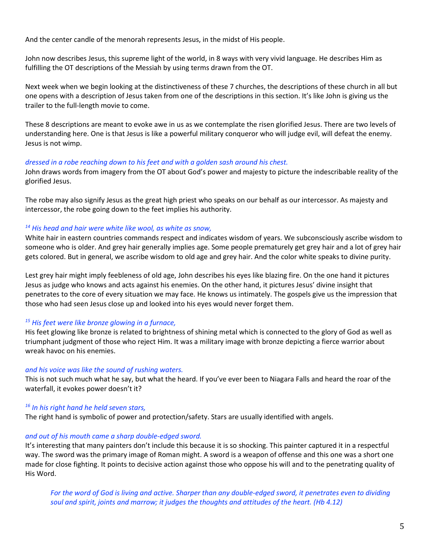And the center candle of the menorah represents Jesus, in the midst of His people.

John now describes Jesus, this supreme light of the world, in 8 ways with very vivid language. He describes Him as fulfilling the OT descriptions of the Messiah by using terms drawn from the OT.

Next week when we begin looking at the distinctiveness of these 7 churches, the descriptions of these church in all but one opens with a description of Jesus taken from one of the descriptions in this section. It's like John is giving us the trailer to the full-length movie to come.

These 8 descriptions are meant to evoke awe in us as we contemplate the risen glorified Jesus. There are two levels of understanding here. One is that Jesus is like a powerful military conqueror who will judge evil, will defeat the enemy. Jesus is not wimp.

#### *dressed in a robe reaching down to his feet and with a golden sash around his chest.*

John draws words from imagery from the OT about God's power and majesty to picture the indescribable reality of the glorified Jesus.

The robe may also signify Jesus as the great high priest who speaks on our behalf as our intercessor. As majesty and intercessor, the robe going down to the feet implies his authority.

### *<sup>14</sup> His head and hair were white like wool, as white as snow,*

White hair in eastern countries commands respect and indicates wisdom of years. We subconsciously ascribe wisdom to someone who is older. And grey hair generally implies age. Some people prematurely get grey hair and a lot of grey hair gets colored. But in general, we ascribe wisdom to old age and grey hair. And the color white speaks to divine purity.

Lest grey hair might imply feebleness of old age, John describes his eyes like blazing fire. On the one hand it pictures Jesus as judge who knows and acts against his enemies. On the other hand, it pictures Jesus' divine insight that penetrates to the core of every situation we may face. He knows us intimately. The gospels give us the impression that those who had seen Jesus close up and looked into his eyes would never forget them.

### *<sup>15</sup> His feet were like bronze glowing in a furnace,*

His feet glowing like bronze is related to brightness of shining metal which is connected to the glory of God as well as triumphant judgment of those who reject Him. It was a military image with bronze depicting a fierce warrior about wreak havoc on his enemies.

### *and his voice was like the sound of rushing waters.*

This is not such much what he say, but what the heard. If you've ever been to Niagara Falls and heard the roar of the waterfall, it evokes power doesn't it?

### *<sup>16</sup> In his right hand he held seven stars,*

The right hand is symbolic of power and protection/safety. Stars are usually identified with angels.

### *and out of his mouth came a sharp double-edged sword.*

It's interesting that many painters don't include this because it is so shocking. This painter captured it in a respectful way. The sword was the primary image of Roman might. A sword is a weapon of offense and this one was a short one made for close fighting. It points to decisive action against those who oppose his will and to the penetrating quality of His Word.

*For the word of God is living and active. Sharper than any double-edged sword, it penetrates even to dividing soul and spirit, joints and marrow; it judges the thoughts and attitudes of the heart. (Hb 4.12)*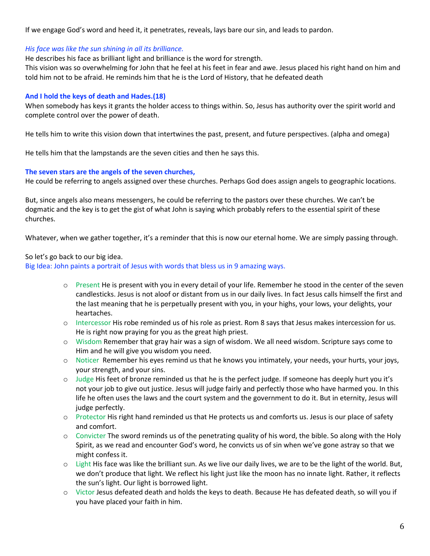If we engage God's word and heed it, it penetrates, reveals, lays bare our sin, and leads to pardon.

### *His face was like the sun shining in all its brilliance.*

He describes his face as brilliant light and brilliance is the word for strength.

This vision was so overwhelming for John that he feel at his feet in fear and awe. Jesus placed his right hand on him and told him not to be afraid. He reminds him that he is the Lord of History, that he defeated death

## **And I hold the keys of death and Hades.(18)**

When somebody has keys it grants the holder access to things within. So, Jesus has authority over the spirit world and complete control over the power of death.

He tells him to write this vision down that intertwines the past, present, and future perspectives. (alpha and omega)

He tells him that the lampstands are the seven cities and then he says this.

## **The seven stars are the angels of the seven churches,**

He could be referring to angels assigned over these churches. Perhaps God does assign angels to geographic locations.

But, since angels also means messengers, he could be referring to the pastors over these churches. We can't be dogmatic and the key is to get the gist of what John is saying which probably refers to the essential spirit of these churches.

Whatever, when we gather together, it's a reminder that this is now our eternal home. We are simply passing through.

## So let's go back to our big idea.

Big Idea: John paints a portrait of Jesus with words that bless us in 9 amazing ways.

- o Present He is present with you in every detail of your life. Remember he stood in the center of the seven candlesticks. Jesus is not aloof or distant from us in our daily lives. In fact Jesus calls himself the first and the last meaning that he is perpetually present with you, in your highs, your lows, your delights, your heartaches.
- o Intercessor His robe reminded us of his role as priest. Rom 8 says that Jesus makes intercession for us. He is right now praying for you as the great high priest.
- o Wisdom Remember that gray hair was a sign of wisdom. We all need wisdom. Scripture says come to Him and he will give you wisdom you need.
- o Noticer Remember his eyes remind us that he knows you intimately, your needs, your hurts, your joys, your strength, and your sins.
- o Judge His feet of bronze reminded us that he is the perfect judge. If someone has deeply hurt you it's not your job to give out justice. Jesus will judge fairly and perfectly those who have harmed you. In this life he often uses the laws and the court system and the government to do it. But in eternity, Jesus will judge perfectly.
- o Protector His right hand reminded us that He protects us and comforts us. Jesus is our place of safety and comfort.
- o Convicter The sword reminds us of the penetrating quality of his word, the bible. So along with the Holy Spirit, as we read and encounter God's word, he convicts us of sin when we've gone astray so that we might confess it.
- $\circ$  Light His face was like the brilliant sun. As we live our daily lives, we are to be the light of the world. But, we don't produce that light. We reflect his light just like the moon has no innate light. Rather, it reflects the sun's light. Our light is borrowed light.
- o Victor Jesus defeated death and holds the keys to death. Because He has defeated death, so will you if you have placed your faith in him.